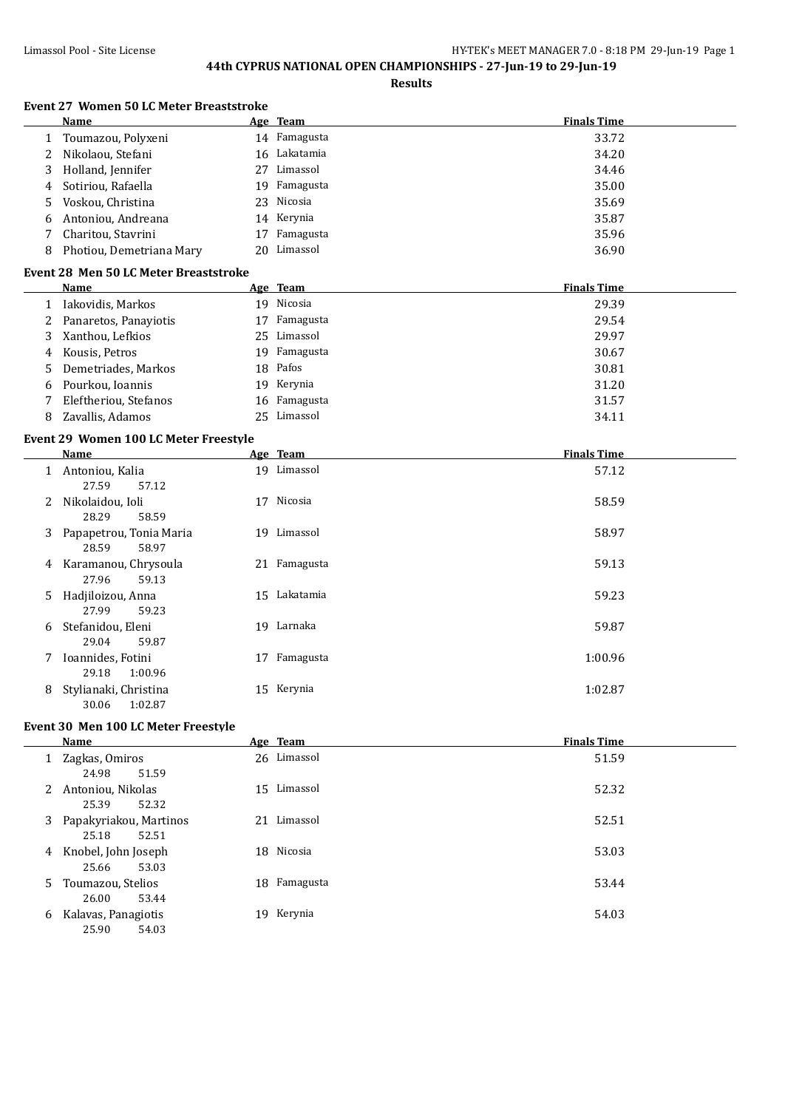**Results**

|   | Name                                         |    | Age Team     | <b>Finals Time</b> |
|---|----------------------------------------------|----|--------------|--------------------|
| 1 | Toumazou, Polyxeni                           |    | 14 Famagusta | 33.72              |
| 2 | Nikolaou, Stefani                            |    | 16 Lakatamia | 34.20              |
| 3 | Holland, Jennifer                            |    | 27 Limassol  | 34.46              |
| 4 | Sotiriou, Rafaella                           |    | 19 Famagusta | 35.00              |
| 5 | Voskou, Christina                            | 23 | Nicosia      | 35.69              |
| 6 | Antoniou, Andreana                           |    | 14 Kerynia   | 35.87              |
| 7 | Charitou, Stavrini                           | 17 | Famagusta    | 35.96              |
| 8 | Photiou, Demetriana Mary                     |    | 20 Limassol  | 36.90              |
|   | <b>Event 28 Men 50 LC Meter Breaststroke</b> |    |              |                    |
|   | Name                                         |    | Age Team     | <b>Finals Time</b> |
| 1 | Iakovidis, Markos                            |    | 19 Nicosia   | 29.39              |
| 2 | Panaretos, Panayiotis                        |    | 17 Famagusta | 29.54              |
| 3 | Xanthou, Lefkios                             |    | 25 Limassol  | 29.97              |
| 4 | Kousis, Petros                               |    | 19 Famagusta | 30.67              |
| 5 | Demetriades, Markos                          |    | 18 Pafos     | 30.81              |
| 6 | Pourkou, Ioannis                             |    | 19 Kerynia   | 31.20              |
| 7 | Eleftheriou, Stefanos                        |    | 16 Famagusta | 31.57              |
| 8 | Zavallis, Adamos                             |    | 25 Limassol  | 34.11              |
|   | Event 29 Women 100 LC Meter Freestyle        |    |              |                    |
|   | Name                                         |    | Age Team     | <b>Finals Time</b> |
|   | 1 Antoniou, Kalia                            |    | 19 Limassol  | 57.12              |
|   | 27.59<br>57.12                               |    |              |                    |
| 2 | Nikolaidou, Ioli                             |    | 17 Nicosia   | 58.59              |
|   | 28.29<br>58.59                               |    |              |                    |
| 3 | Papapetrou, Tonia Maria                      |    | 19 Limassol  | 58.97              |
|   | 28.59<br>58.97                               |    |              |                    |
|   | 4 Karamanou, Chrysoula                       |    | 21 Famagusta | 59.13              |
|   | 27.96<br>59.13                               |    |              |                    |
| 5 | Hadjiloizou, Anna                            |    | 15 Lakatamia | 59.23              |
|   | 27.99<br>59.23                               |    |              |                    |
| 6 | Stefanidou, Eleni                            |    | 19 Larnaka   | 59.87              |
|   | 29.04<br>59.87                               |    |              |                    |
|   | 7 Ioannides, Fotini                          |    | 17 Famagusta | 1:00.96            |
|   | 29.18<br>1:00.96                             |    |              |                    |
| 8 | Stylianaki, Christina                        |    | 15 Kerynia   | 1:02.87            |
|   | 30.06<br>1:02.87                             |    |              |                    |

### **Event 30 Men 100 LC Meter Freestyle**

|                      | Name                                     | Age Team      | <b>Finals Time</b> |
|----------------------|------------------------------------------|---------------|--------------------|
|                      | 1 Zagkas, Omiros<br>51.59<br>24.98       | 26 Limassol   | 51.59              |
| $\mathbf{2}^{\circ}$ | Antoniou, Nikolas<br>25.39<br>52.32      | 15 Limassol   | 52.32              |
| 3                    | Papakyriakou, Martinos<br>25.18<br>52.51 | 21 Limassol   | 52.51              |
| 4                    | Knobel, John Joseph<br>53.03<br>25.66    | 18 Nicosia    | 53.03              |
| 5.                   | Toumazou, Stelios<br>53.44<br>26.00      | 18 Famagusta  | 53.44              |
| 6                    | Kalavas, Panagiotis<br>25.90<br>54.03    | Kerynia<br>19 | 54.03              |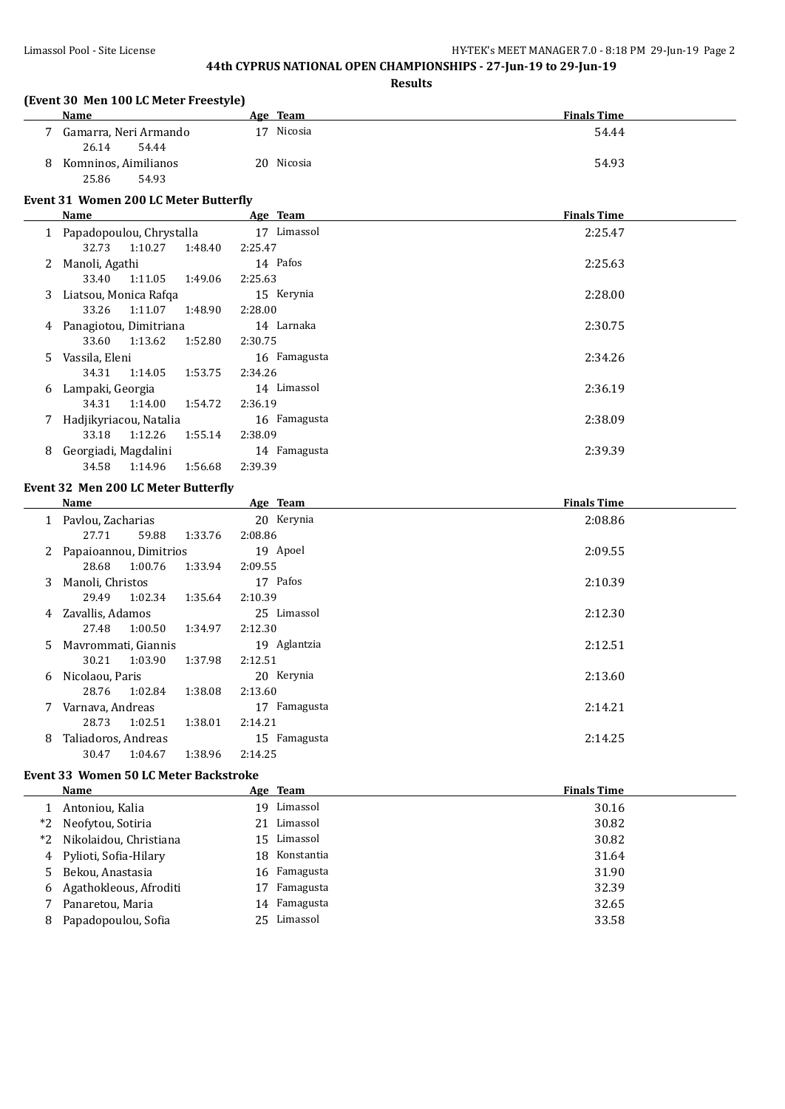|    |                                               | <b>Results</b> |                    |
|----|-----------------------------------------------|----------------|--------------------|
|    | (Event 30 Men 100 LC Meter Freestyle)<br>Name | Age Team       | <b>Finals Time</b> |
|    | 7 Gamarra, Neri Armando                       | 17 Nicosia     | 54.44              |
|    | 26.14<br>54.44                                |                |                    |
|    | 8 Komninos, Aimilianos                        | 20 Nicosia     | 54.93              |
|    | 25.86<br>54.93                                |                |                    |
|    | <b>Event 31 Women 200 LC Meter Butterfly</b>  |                |                    |
|    | <b>Name</b>                                   | Age Team       | <b>Finals Time</b> |
|    | 1 Papadopoulou, Chrystalla                    | 17 Limassol    | 2:25.47            |
|    | 32.73<br>1:10.27<br>1:48.40                   | 2:25.47        |                    |
|    | 2 Manoli, Agathi                              | 14 Pafos       | 2:25.63            |
|    | 33.40<br>1:11.05<br>1:49.06                   | 2:25.63        |                    |
|    | 3 Liatsou, Monica Rafqa                       | 15 Kerynia     | 2:28.00            |
|    | 33.26<br>1:11.07<br>1:48.90                   | 2:28.00        |                    |
|    | 4 Panagiotou, Dimitriana                      | 14 Larnaka     | 2:30.75            |
|    | 33.60<br>1:13.62<br>1:52.80                   | 2:30.75        |                    |
| 5. | Vassila, Eleni                                | 16 Famagusta   | 2:34.26            |
|    | 34.31<br>1:14.05<br>1:53.75                   | 2:34.26        |                    |
|    | 6 Lampaki, Georgia                            | 14 Limassol    | 2:36.19            |
|    | 34.31<br>1:14.00<br>1:54.72                   | 2:36.19        |                    |
| 7  | Hadjikyriacou, Natalia                        | 16 Famagusta   | 2:38.09            |
|    | 33.18<br>1:12.26<br>1:55.14                   | 2:38.09        |                    |
|    | 8 Georgiadi, Magdalini                        | 14 Famagusta   | 2:39.39            |
|    | 34.58<br>1:14.96<br>1:56.68                   | 2:39.39        |                    |
|    | <b>Event 32 Men 200 LC Meter Butterfly</b>    |                |                    |
|    | <b>Name</b>                                   | Age Team       | <b>Finals Time</b> |
|    | 1 Pavlou, Zacharias                           | 20 Kerynia     | 2:08.86            |
|    | 27.71<br>59.88<br>1:33.76                     | 2:08.86        |                    |
|    | 2 Papaioannou, Dimitrios                      | 19 Apoel       | 2:09.55            |
|    | 28.68<br>1:00.76<br>1:33.94                   | 2:09.55        |                    |
|    | 3 Manoli, Christos                            | 17 Pafos       | 2:10.39            |
|    | 29.49<br>1:02.34<br>1:35.64                   | 2:10.39        |                    |
|    | 4 Zavallis, Adamos                            | 25 Limassol    | 2:12.30            |
|    | 27.48<br>1:00.50<br>1:34.97                   | 2:12.30        |                    |
|    | 5 Mayrommati, Giannis                         | 19 Aglantzia   | 2:12.51            |
|    | 30.21<br>1:03.90<br>1:37.98                   | 2:12.51        |                    |
| 6  | Nicolaou, Paris                               | 20 Kerynia     | 2:13.60            |
|    | 28.76<br>1:02.84<br>1:38.08                   | 2:13.60        |                    |
| 7. | Varnava, Andreas                              | 17 Famagusta   | 2:14.21            |
|    | 28.73<br>1:02.51<br>1:38.01                   | 2:14.21        |                    |
| 8  | Taliadoros, Andreas                           | 15 Famagusta   | 2:14.25            |
|    | 30.47<br>1:04.67<br>1:38.96                   | 2:14.25        |                    |

### **Event 33 Women 50 LC Meter Backstroke**

|      | Name                     |     | Age Team     | <b>Finals Time</b> |
|------|--------------------------|-----|--------------|--------------------|
|      | Antoniou, Kalia          | 19. | Limassol     | 30.16              |
| $*2$ | Neofytou, Sotiria        |     | 21 Limassol  | 30.82              |
| $*2$ | Nikolaidou, Christiana   |     | 15 Limassol  | 30.82              |
|      | 4 Pylioti, Sofia-Hilary  | 18  | Konstantia   | 31.64              |
|      | 5 Bekou, Anastasia       |     | 16 Famagusta | 31.90              |
|      | 6 Agathokleous, Afroditi | 17  | Famagusta    | 32.39              |
|      | Panaretou, Maria         |     | 14 Famagusta | 32.65              |
| 8    | Papadopoulou, Sofia      |     | 25 Limassol  | 33.58              |
|      |                          |     |              |                    |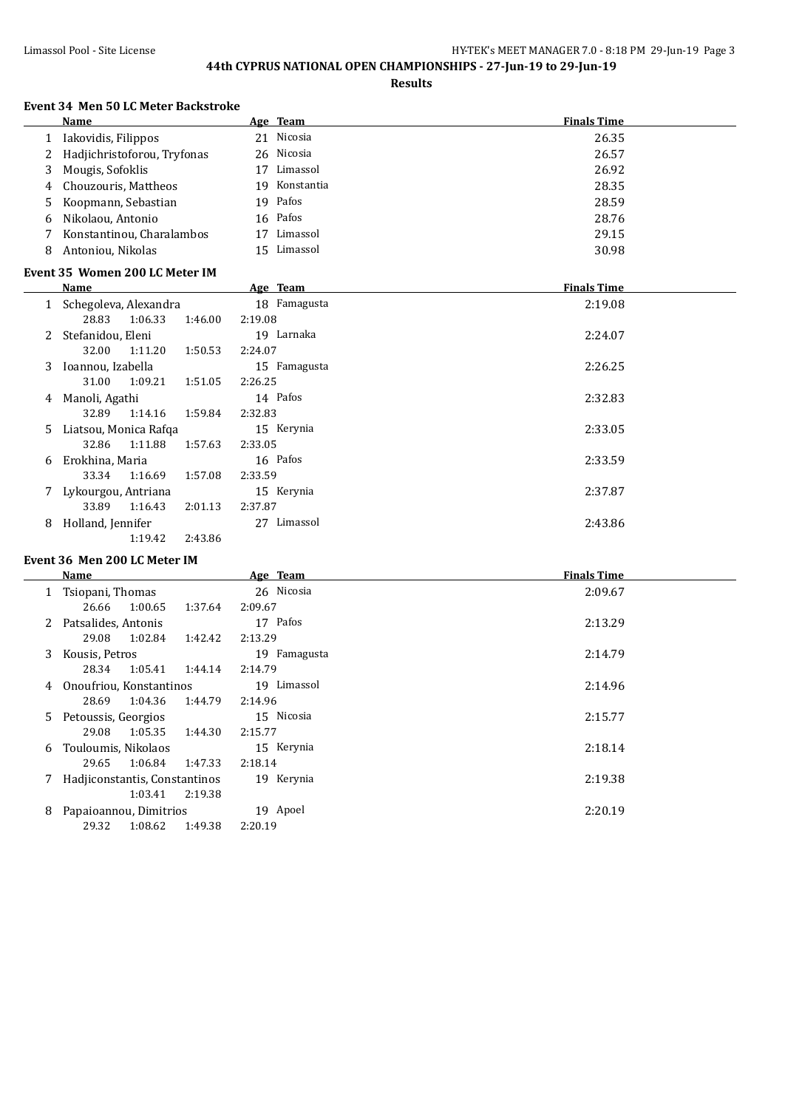**Results**

#### **Event 34 Men 50 LC Meter Backstroke**

31.00 1:09.21 1:51.05 2:26.25

32.89 1:14.16 1:59.84 2:32.83

|    | Name                           | Age Team |              | <b>Finals Time</b> |
|----|--------------------------------|----------|--------------|--------------------|
|    | Iakovidis, Filippos            |          | 21 Nicosia   | 26.35              |
|    | Hadjichristoforou, Tryfonas    |          | 26 Nicosia   | 26.57              |
| 3  | Mougis, Sofoklis               | 17       | Limassol     | 26.92              |
| 4  | Chouzouris, Mattheos           | 19       | Konstantia   | 28.35              |
| 5. | Koopmann, Sebastian            | 19       | Pafos        | 28.59              |
| 6  | Nikolaou, Antonio              | 16 Pafos |              | 28.76              |
|    | Konstantinou, Charalambos      | 17       | Limassol     | 29.15              |
| 8  | Antoniou, Nikolas              | 15       | Limassol     | 30.98              |
|    | Event 35 Women 200 LC Meter IM |          |              |                    |
|    | Name                           | Age Team |              | <b>Finals Time</b> |
|    | Schegoleva, Alexandra          |          | 18 Famagusta | 2:19.08            |
|    | 1:06.33<br>1:46.00<br>28.83    | 2:19.08  |              |                    |
|    | Stefanidou, Eleni              | 19       | Larnaka      | 2:24.07            |
|    | 32.00<br>1:11.20<br>1:50.53    | 2:24.07  |              |                    |

3 Ioannou, Izabella 15 Famagusta 2:26.25

4 Manoli, Agathi 14 Pafos 2:32.83

5 Liatsou, Monica Rafqa 15 Kerynia 2:33.05

#### 32.86 1:11.88 1:57.63 2:33.05 6 Erokhina, Maria 16 Pafos 2:33.59 33.34 1:16.69 1:57.08 2:33.59 7 Lykourgou, Antriana 15 Kerynia 2:37.87 33.89 1:16.43 2:01.13 2:37.87 8 Holland, Jennifer 27 Limassol 2:43.86 1:19.42 2:43.86

#### **Event 36 Men 200 LC Meter IM**

|    | Name                          |         | Age Team     | <b>Finals Time</b> |
|----|-------------------------------|---------|--------------|--------------------|
| 1  | Tsiopani, Thomas              |         | 26 Nicosia   | 2:09.67            |
|    | 1:00.65<br>26.66              | 1:37.64 | 2:09.67      |                    |
|    | Patsalides, Antonis           |         | 17 Pafos     | 2:13.29            |
|    | 29.08<br>1:02.84              | 1:42.42 | 2:13.29      |                    |
| 3  | Kousis, Petros                |         | 19 Famagusta | 2:14.79            |
|    | 1:05.41<br>28.34              | 1:44.14 | 2:14.79      |                    |
| 4  | Onoufriou, Konstantinos       |         | 19 Limassol  | 2:14.96            |
|    | 28.69<br>1:04.36              | 1:44.79 | 2:14.96      |                    |
| 5. | Petoussis, Georgios           |         | 15 Nicosia   | 2:15.77            |
|    | 1:05.35<br>29.08              | 1:44.30 | 2:15.77      |                    |
| 6  | Touloumis, Nikolaos           |         | 15 Kerynia   | 2:18.14            |
|    | 1:06.84<br>29.65              | 1:47.33 | 2:18.14      |                    |
|    | Hadjiconstantis, Constantinos |         | 19 Kerynia   | 2:19.38            |
|    | 1:03.41                       | 2:19.38 |              |                    |
| 8  | Papaioannou, Dimitrios        |         | 19 Apoel     | 2:20.19            |
|    | 29.32<br>1:08.62              | 1:49.38 | 2:20.19      |                    |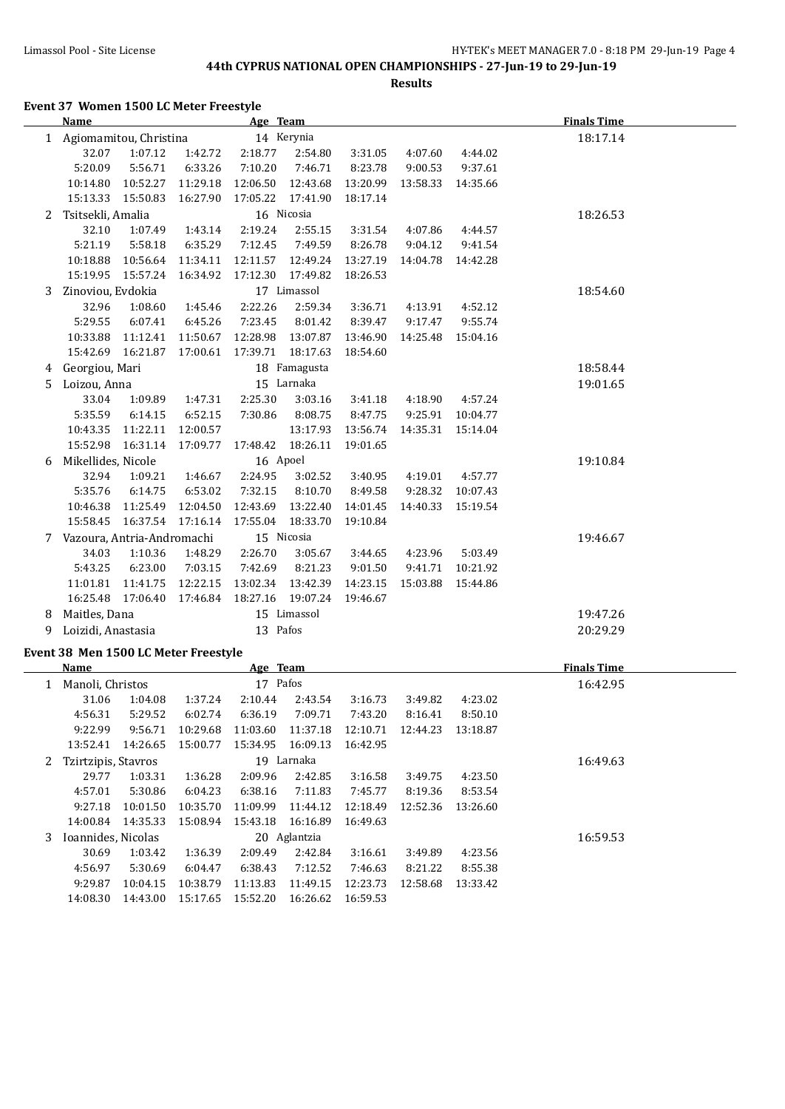**Results**

**Event 37 Women 1500 LC Meter Freestyle**

|    | <b>Name</b>                          |                            |          | Age Team |              |          |          |          | <b>Finals Time</b> |
|----|--------------------------------------|----------------------------|----------|----------|--------------|----------|----------|----------|--------------------|
|    | 1 Agiomamitou, Christina             |                            |          |          | 14 Kerynia   |          |          |          | 18:17.14           |
|    | 32.07                                | 1:07.12                    | 1:42.72  | 2:18.77  | 2:54.80      | 3:31.05  | 4:07.60  | 4:44.02  |                    |
|    | 5:20.09                              | 5:56.71                    | 6:33.26  | 7:10.20  | 7:46.71      | 8:23.78  | 9:00.53  | 9:37.61  |                    |
|    | 10:14.80                             | 10:52.27                   | 11:29.18 | 12:06.50 | 12:43.68     | 13:20.99 | 13:58.33 | 14:35.66 |                    |
|    | 15:13.33                             | 15:50.83                   | 16:27.90 | 17:05.22 | 17:41.90     | 18:17.14 |          |          |                    |
| 2  | Tsitsekli, Amalia                    |                            |          |          | 16 Nicosia   |          |          |          | 18:26.53           |
|    | 32.10                                | 1:07.49                    | 1:43.14  | 2:19.24  | 2:55.15      | 3:31.54  | 4:07.86  | 4:44.57  |                    |
|    | 5:21.19                              | 5:58.18                    | 6:35.29  | 7:12.45  | 7:49.59      | 8:26.78  | 9:04.12  | 9:41.54  |                    |
|    | 10:18.88                             | 10:56.64                   | 11:34.11 | 12:11.57 | 12:49.24     | 13:27.19 | 14:04.78 | 14:42.28 |                    |
|    |                                      | 15:19.95  15:57.24         | 16:34.92 | 17:12.30 | 17:49.82     | 18:26.53 |          |          |                    |
| 3  | Zinoviou, Evdokia                    |                            |          |          | 17 Limassol  |          |          |          | 18:54.60           |
|    | 32.96                                | 1:08.60                    | 1:45.46  | 2:22.26  | 2:59.34      | 3:36.71  | 4:13.91  | 4:52.12  |                    |
|    | 5:29.55                              | 6:07.41                    | 6:45.26  | 7:23.45  | 8:01.42      | 8:39.47  | 9:17.47  | 9:55.74  |                    |
|    | 10:33.88                             | 11:12.41                   | 11:50.67 | 12:28.98 | 13:07.87     | 13:46.90 | 14:25.48 | 15:04.16 |                    |
|    | 15:42.69                             | 16:21.87                   | 17:00.61 | 17:39.71 | 18:17.63     | 18:54.60 |          |          |                    |
|    | Georgiou, Mari                       |                            |          |          | 18 Famagusta |          |          |          | 18:58.44           |
| 4  |                                      |                            |          |          |              |          |          |          |                    |
| 5  | Loizou, Anna                         |                            |          |          | 15 Larnaka   |          |          |          | 19:01.65           |
|    | 33.04                                | 1:09.89                    | 1:47.31  | 2:25.30  | 3:03.16      | 3:41.18  | 4:18.90  | 4:57.24  |                    |
|    | 5:35.59                              | 6:14.15                    | 6:52.15  | 7:30.86  | 8:08.75      | 8:47.75  | 9:25.91  | 10:04.77 |                    |
|    | 10:43.35                             | 11:22.11                   | 12:00.57 |          | 13:17.93     | 13:56.74 | 14:35.31 | 15:14.04 |                    |
|    | 15:52.98                             | 16:31.14                   | 17:09.77 | 17:48.42 | 18:26.11     | 19:01.65 |          |          |                    |
| 6  | Mikellides, Nicole                   |                            |          | 16 Apoel |              |          |          |          | 19:10.84           |
|    | 32.94                                | 1:09.21                    | 1:46.67  | 2:24.95  | 3:02.52      | 3:40.95  | 4:19.01  | 4:57.77  |                    |
|    | 5:35.76                              | 6:14.75                    | 6:53.02  | 7:32.15  | 8:10.70      | 8:49.58  | 9:28.32  | 10:07.43 |                    |
|    | 10:46.38                             | 11:25.49                   | 12:04.50 | 12:43.69 | 13:22.40     | 14:01.45 | 14:40.33 | 15:19.54 |                    |
|    | 15:58.45                             | 16:37.54                   | 17:16.14 | 17:55.04 | 18:33.70     | 19:10.84 |          |          |                    |
| 7  |                                      | Vazoura, Antria-Andromachi |          |          | 15 Nicosia   |          |          |          | 19:46.67           |
|    | 34.03                                | 1:10.36                    | 1:48.29  | 2:26.70  | 3:05.67      | 3:44.65  | 4:23.96  | 5:03.49  |                    |
|    | 5:43.25                              | 6:23.00                    | 7:03.15  | 7:42.69  | 8:21.23      | 9:01.50  | 9:41.71  | 10:21.92 |                    |
|    | 11:01.81                             | 11:41.75                   | 12:22.15 | 13:02.34 | 13:42.39     | 14:23.15 | 15:03.88 | 15:44.86 |                    |
|    |                                      | 16:25.48 17:06.40          | 17:46.84 | 18:27.16 | 19:07.24     | 19:46.67 |          |          |                    |
| 8  | Maitles, Dana                        |                            |          |          | 15 Limassol  |          |          |          | 19:47.26           |
| 9. | Loizidi, Anastasia                   |                            |          | 13 Pafos |              |          |          |          | 20:29.29           |
|    | Event 38 Men 1500 LC Meter Freestyle |                            |          |          |              |          |          |          |                    |
|    | <b>Name</b>                          |                            |          | Age Team |              |          |          |          | <b>Finals Time</b> |
|    | 1 Manoli, Christos                   |                            |          | 17 Pafos |              |          |          |          | 16:42.95           |
|    | 31.06                                | 1:04.08                    | 1:37.24  | 2:10.44  | 2:43.54      | 3:16.73  | 3:49.82  | 4:23.02  |                    |
|    | 4:56.31                              | 5:29.52                    | 6:02.74  | 6:36.19  | 7:09.71      | 7:43.20  | 8:16.41  | 8:50.10  |                    |
|    | 9:22.99                              | 9:56.71                    | 10:29.68 | 11:03.60 | 11:37.18     | 12:10.71 | 12:44.23 | 13:18.87 |                    |
|    | 13:52.41                             | 14:26.65                   | 15:00.77 | 15:34.95 | 16:09.13     | 16:42.95 |          |          |                    |
|    |                                      |                            |          |          | 19 Larnaka   |          |          |          |                    |
| 2  | Tzirtzipis, Stavros                  |                            |          |          |              |          |          |          | 16:49.63           |
|    | 29.77                                | 1:03.31                    | 1:36.28  | 2:09.96  | 2:42.85      | 3:16.58  | 3:49.75  | 4:23.50  |                    |
|    | 4:57.01                              | 5:30.86                    | 6:04.23  | 6:38.16  | 7:11.83      | 7:45.77  | 8:19.36  | 8:53.54  |                    |
|    | 9:27.18                              | 10:01.50                   | 10:35.70 | 11:09.99 | 11:44.12     | 12:18.49 | 12:52.36 | 13:26.60 |                    |
|    | 14:00.84                             | 14:35.33                   | 15:08.94 | 15:43.18 | 16:16.89     | 16:49.63 |          |          |                    |
|    | 3 Ioannides, Nicolas                 |                            |          |          | 20 Aglantzia |          |          |          | 16:59.53           |
|    | 30.69                                | 1:03.42                    | 1:36.39  | 2:09.49  | 2:42.84      | 3:16.61  | 3:49.89  | 4:23.56  |                    |

4:56.97 5:30.69 6:04.47 6:38.43 7:12.52 7:46.63 8:21.22 8:55.38 9:29.87 10:04.15 10:38.79 11:13.83 11:49.15 12:23.73 12:58.68 13:33.42

14:08.30 14:43.00 15:17.65 15:52.20 16:26.62 16:59.53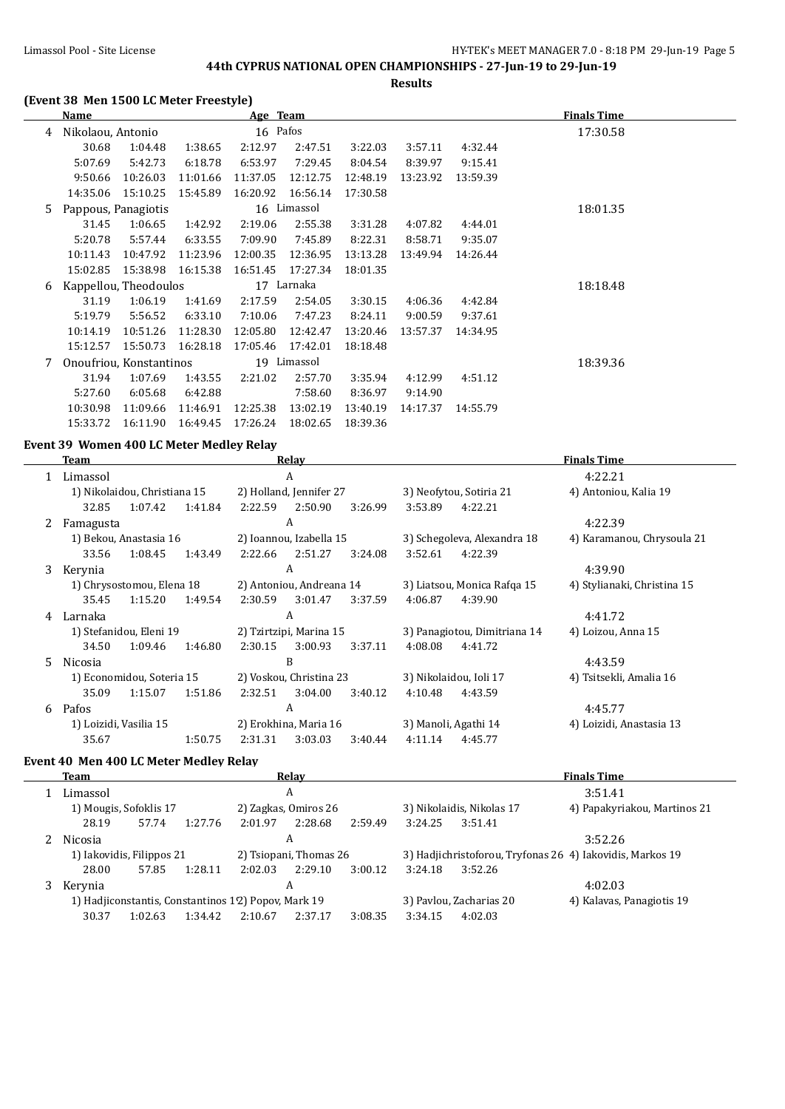**Results**

## **(Event 38 Men 1500 LC Meter Freestyle)**

|   | Name                |                         |          | Age Team |             |          |          |          | <b>Finals Time</b> |
|---|---------------------|-------------------------|----------|----------|-------------|----------|----------|----------|--------------------|
| 4 | Nikolaou, Antonio   |                         |          | 16 Pafos |             |          |          |          | 17:30.58           |
|   | 30.68               | 1:04.48                 | 1:38.65  | 2:12.97  | 2:47.51     | 3:22.03  | 3:57.11  | 4:32.44  |                    |
|   | 5:07.69             | 5:42.73                 | 6:18.78  | 6:53.97  | 7:29.45     | 8:04.54  | 8:39.97  | 9:15.41  |                    |
|   | 9:50.66             | 10:26.03                | 11:01.66 | 11:37.05 | 12:12.75    | 12:48.19 | 13:23.92 | 13:59.39 |                    |
|   | 14:35.06            | 15:10.25                | 15:45.89 | 16:20.92 | 16:56.14    | 17:30.58 |          |          |                    |
| 5 | Pappous, Panagiotis |                         |          |          | 16 Limassol |          |          |          | 18:01.35           |
|   | 31.45               | 1:06.65                 | 1:42.92  | 2:19.06  | 2:55.38     | 3:31.28  | 4:07.82  | 4:44.01  |                    |
|   | 5:20.78             | 5:57.44                 | 6:33.55  | 7:09.90  | 7:45.89     | 8:22.31  | 8:58.71  | 9:35.07  |                    |
|   | 10:11.43            | 10:47.92                | 11:23.96 | 12:00.35 | 12:36.95    | 13:13.28 | 13:49.94 | 14:26.44 |                    |
|   | 15:02.85            | 15:38.98                | 16:15.38 | 16:51.45 | 17:27.34    | 18:01.35 |          |          |                    |
| 6 |                     | Kappellou, Theodoulos   |          |          | 17 Larnaka  |          |          |          | 18:18.48           |
|   | 31.19               | 1:06.19                 | 1:41.69  | 2:17.59  | 2:54.05     | 3:30.15  | 4:06.36  | 4:42.84  |                    |
|   | 5:19.79             | 5:56.52                 | 6:33.10  | 7:10.06  | 7:47.23     | 8:24.11  | 9:00.59  | 9:37.61  |                    |
|   | 10:14.19            | 10:51.26                | 11:28.30 | 12:05.80 | 12:42.47    | 13:20.46 | 13:57.37 | 14:34.95 |                    |
|   | 15:12.57            | 15:50.73                | 16:28.18 | 17:05.46 | 17:42.01    | 18:18.48 |          |          |                    |
| 7 |                     | Onoufriou, Konstantinos |          |          | 19 Limassol |          |          |          | 18:39.36           |
|   | 31.94               | 1:07.69                 | 1:43.55  | 2:21.02  | 2:57.70     | 3:35.94  | 4:12.99  | 4:51.12  |                    |
|   | 5:27.60             | 6:05.68                 | 6:42.88  |          | 7:58.60     | 8:36.97  | 9:14.90  |          |                    |
|   | 10:30.98            | 11:09.66                | 11:46.91 | 12:25.38 | 13:02.19    | 13:40.19 | 14:17.37 | 14:55.79 |                    |
|   | 15:33.72            | 16:11.90                | 16:49.45 | 17:26.24 | 18:02.65    | 18:39.36 |          |          |                    |

## **Event 39 Women 400 LC Meter Medley Relay**

|    | Team      |                              |         |         | <b>Relay</b>             |         | <b>Finals Time</b> |                              |                             |  |
|----|-----------|------------------------------|---------|---------|--------------------------|---------|--------------------|------------------------------|-----------------------------|--|
|    | Limassol  |                              |         | A       |                          |         | 4:22.21            |                              |                             |  |
|    |           | 1) Nikolaidou, Christiana 15 |         |         | 2) Holland, Jennifer 27  |         |                    | 3) Neofytou, Sotiria 21      | 4) Antoniou, Kalia 19       |  |
|    | 32.85     | 1:07.42                      | 1:41.84 | 2:22.59 | 2:50.90                  | 3:26.99 | 3:53.89            | 4:22.21                      |                             |  |
| 2  | Famagusta |                              |         |         | A                        |         |                    |                              | 4:22.39                     |  |
|    |           | 1) Bekou, Anastasia 16       |         |         | 2) Ioannou, Izabella 15  |         |                    | 3) Schegoleva, Alexandra 18  | 4) Karamanou, Chrysoula 21  |  |
|    | 33.56     | 1:08.45                      | 1:43.49 | 2:22.66 | 2:51.27                  | 3:24.08 | 3:52.61            | 4:22.39                      |                             |  |
| 3  | Kerynia   |                              |         |         | A                        |         |                    |                              | 4:39.90                     |  |
|    |           | 1) Chrysostomou, Elena 18    |         |         | 2) Antoniou, Andreana 14 |         |                    | 3) Liatsou, Monica Rafqa 15  | 4) Stylianaki, Christina 15 |  |
|    | 35.45     | 1:15.20                      | 1:49.54 | 2:30.59 | 3:01.47                  | 3:37.59 | 4:06.87            | 4:39.90                      |                             |  |
| 4  | Larnaka   |                              |         |         | A                        |         |                    |                              | 4:41.72                     |  |
|    |           | 1) Stefanidou, Eleni 19      |         |         | 2) Tzirtzipi, Marina 15  |         |                    | 3) Panagiotou, Dimitriana 14 | 4) Loizou, Anna 15          |  |
|    | 34.50     | 1:09.46                      | 1:46.80 | 2:30.15 | 3:00.93                  | 3:37.11 | 4:08.08            | 4:41.72                      |                             |  |
| 5. | Nicosia   |                              |         |         | B                        |         |                    |                              | 4:43.59                     |  |
|    |           | 1) Economidou, Soteria 15    |         |         | 2) Voskou, Christina 23  |         |                    | 3) Nikolaidou, Ioli 17       | 4) Tsitsekli, Amalia 16     |  |
|    | 35.09     | 1:15.07                      | 1:51.86 | 2:32.51 | 3:04.00                  | 3:40.12 | 4:10.48            | 4:43.59                      |                             |  |
| 6  | Pafos     |                              |         |         | A                        |         |                    |                              | 4:45.77                     |  |
|    |           | 1) Loizidi, Vasilia 15       |         |         | 2) Erokhina, Maria 16    |         |                    | 3) Manoli, Agathi 14         | 4) Loizidi, Anastasia 13    |  |
|    | 35.67     |                              | 1:50.75 | 2:31.31 | 3:03.03                  | 3:40.44 | 4:11.14            | 4:45.77                      |                             |  |

## **Event 40 Men 400 LC Meter Medley Relay**

|   | Team     |                           | Relav                                               |         | <b>Finals Time</b>        |                                                           |  |  |
|---|----------|---------------------------|-----------------------------------------------------|---------|---------------------------|-----------------------------------------------------------|--|--|
|   | Limassol |                           | A                                                   | 3:51.41 |                           |                                                           |  |  |
|   |          | 1) Mougis, Sofoklis 17    | 2) Zagkas, Omiros 26                                |         | 3) Nikolaidis, Nikolas 17 | 4) Papakyriakou, Martinos 21                              |  |  |
|   | 28.19    | 1:27.76<br>57.74          | 2:28.68<br>2:01.97                                  | 2:59.49 | 3:51.41<br>3:24.25        |                                                           |  |  |
|   | Nicosia  |                           | A                                                   |         |                           | 3:52.26                                                   |  |  |
|   |          | 1) Iakovidis, Filippos 21 | 2) Tsiopani, Thomas 26                              |         |                           | 3) Hadjichristoforou, Tryfonas 26 4) Iakovidis, Markos 19 |  |  |
|   | 28.00    | 57.85<br>1:28.11          | 2:02.03<br>2:29.10                                  | 3:00.12 | 3:52.26<br>3:24.18        |                                                           |  |  |
| 3 | Kerynia  |                           | A                                                   |         |                           | 4:02.03                                                   |  |  |
|   |          |                           | 1) Hadjiconstantis, Constantinos 12) Popov, Mark 19 |         | 3) Pavlou, Zacharias 20   | 4) Kalavas, Panagiotis 19                                 |  |  |
|   | 30.37    | 1:34.42<br>1:02.63        | 2:37.17<br>2:10.67                                  | 3:08.35 | 3:34.15<br>4:02.03        |                                                           |  |  |
|   |          |                           |                                                     |         |                           |                                                           |  |  |